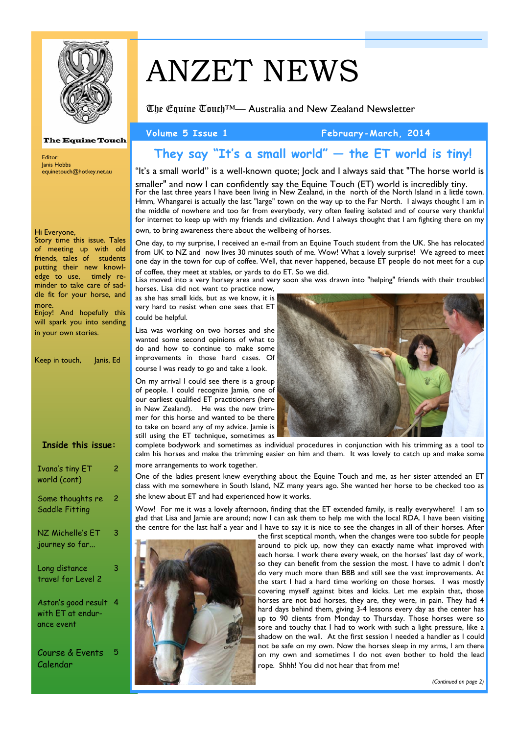

**The Equine Touch** 

# ANZET NEWS

The Equine Touch™— Australia and New Zealand Newsletter

#### Volume 5 Issue 1 February-March, 2014

## **They say "It's a small world" — the ET world is tiny!**

"It's a small world" is a well-known quote; Jock and I always said that "The horse world is

smaller" and now I can confidently say the Equine Touch (ET) world is incredibly tiny. For the last three years I have been living in New Zealand, in the north of the North Island in a little town. Hmm, Whangarei is actually the last "large" town on the way up to the Far North. I always thought I am in the middle of nowhere and too far from everybody, very often feeling isolated and of course very thankful for internet to keep up with my friends and civilization. And I always thought that I am fighting there on my own, to bring awareness there about the wellbeing of horses.

One day, to my surprise, I received an e-mail from an Equine Touch student from the UK. She has relocated from UK to NZ and now lives 30 minutes south of me. Wow! What a lovely surprise! We agreed to meet one day in the town for cup of coffee. Well, that never happened, because ET people do not meet for a cup of coffee, they meet at stables, or yards to do ET. So we did.

Lisa moved into a very horsey area and very soon she was drawn into "helping" friends with their troubled horses. Lisa did not want to practice now,

as she has small kids, but as we know, it is very hard to resist when one sees that ET could be helpful.

Lisa was working on two horses and she wanted some second opinions of what to do and how to continue to make some improvements in those hard cases. Of course I was ready to go and take a look.

On my arrival I could see there is a group of people. I could recognize Jamie, one of our earliest qualified ET practitioners (here in New Zealand). He was the new trimmer for this horse and wanted to be there to take on board any of my advice. Jamie is still using the ET technique, sometimes as



complete bodywork and sometimes as individual procedures in conjunction with his trimming as a tool to calm his horses and make the trimming easier on him and them. It was lovely to catch up and make some more arrangements to work together.

One of the ladies present knew everything about the Equine Touch and me, as her sister attended an ET class with me somewhere in South Island, NZ many years ago. She wanted her horse to be checked too as she knew about ET and had experienced how it works.

Wow! For me it was a lovely afternoon, finding that the ET extended family, is really everywhere! I am so glad that Lisa and Jamie are around; now I can ask them to help me with the local RDA. I have been visiting the centre for the last half a year and I have to say it is nice to see the changes in all of their horses. After



the first sceptical month, when the changes were too subtle for people around to pick up, now they can exactly name what improved with each horse. I work there every week, on the horses' last day of work, so they can benefit from the session the most. I have to admit I don't do very much more than BBB and still see the vast improvements. At the start I had a hard time working on those horses. I was mostly covering myself against bites and kicks. Let me explain that, those horses are not bad horses, they are, they were, in pain. They had 4 hard days behind them, giving 3-4 lessons every day as the center has up to 90 clients from Monday to Thursday. Those horses were so sore and touchy that I had to work with such a light pressure, like a shadow on the wall. At the first session I needed a handler as I could not be safe on my own. Now the horses sleep in my arms, I am there on my own and sometimes I do not even bother to hold the lead rope. Shhh! You did not hear that from me!

*(Continued on page 2)* 

#### Hi Everyone,

Editor: Janis Hobbs

Story time this issue. Tales of meeting up with old friends, tales of students putting their new knowledge to use, timely reminder to take care of saddle fit for your horse, and more.

equinetouch@hotkey.net.au

Enjoy! And hopefully this will spark you into sending in your own stories.

Keep in touch, Janis, Ed

| Inside this issue: |  |  |
|--------------------|--|--|
|                    |  |  |

| Ivana's tiny ET<br>world (cont)           | 2 |
|-------------------------------------------|---|
| Some thoughts re<br><b>Saddle Fitting</b> | 2 |
| NZ Michelle's ET<br>journey so far        | 3 |
| Long distance<br>travel for Level 2       | 3 |
| Aston's good result 4                     |   |

Aston's good result with ET at endurance event

Course & Events Calendar 5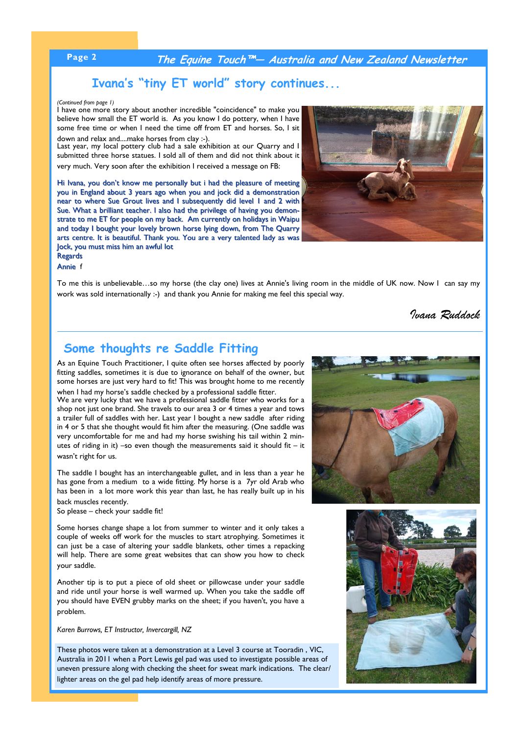### **Page 2 The Equine Touch™— Australia and New Zealand Newsletter**

### **Ivana's "tiny ET world" story continues...**

#### *(Continued from page 1)*

I have one more story about another incredible "coincidence" to make you believe how small the ET world is. As you know I do pottery, when I have some free time or when I need the time off from ET and horses. So, I sit down and relax and....make horses from clay :-).

Last year, my local pottery club had a sale exhibition at our Quarry and I submitted three horse statues. I sold all of them and did not think about it very much. Very soon after the exhibition I received a message on FB:

Hi Ivana, you don't know me personally but i had the pleasure of meeting you in England about 3 years ago when you and jock did a demonstration near to where Sue Grout lives and I subsequently did level 1 and 2 with Sue. What a brilliant teacher. I also had the privilege of having you demonstrate to me ET for people on my back. Am currently on holidays in Waipu and today I bought your lovely brown horse lying down, from The Quarry arts centre. It is beautiful. Thank you. You are a very talented lady as was Jock, you must miss him an awful lot **Regards** 



Annie f

To me this is unbelievable…so my horse (the clay one) lives at Annie's living room in the middle of UK now. Now I can say my work was sold internationally :-) and thank you Annie for making me feel this special way.

#### *Ivana Ruddock*

### **Some thoughts re Saddle Fitting**

As an Equine Touch Practitioner, I quite often see horses affected by poorly fitting saddles, sometimes it is due to ignorance on behalf of the owner, but some horses are just very hard to fit! This was brought home to me recently when I had my horse's saddle checked by a professional saddle fitter.

We are very lucky that we have a professional saddle fitter who works for a shop not just one brand. She travels to our area 3 or 4 times a year and tows a trailer full of saddles with her. Last year I bought a new saddle after riding in 4 or 5 that she thought would fit him after the measuring. (One saddle was very uncomfortable for me and had my horse swishing his tail within 2 minutes of riding in it) –so even though the measurements said it should fit – it wasn't right for us.

The saddle I bought has an interchangeable gullet, and in less than a year he has gone from a medium to a wide fitting. My horse is a 7yr old Arab who has been in a lot more work this year than last, he has really built up in his back muscles recently.

So please – check your saddle fit!

Some horses change shape a lot from summer to winter and it only takes a couple of weeks off work for the muscles to start atrophying. Sometimes it can just be a case of altering your saddle blankets, other times a repacking will help. There are some great websites that can show you how to check your saddle.

Another tip is to put a piece of old sheet or pillowcase under your saddle and ride until your horse is well warmed up. When you take the saddle off you should have EVEN grubby marks on the sheet; if you haven't, you have a problem.

*Karen Burrows, ET Instructor, Invercargill, NZ* 

These photos were taken at a demonstration at a Level 3 course at Tooradin , VIC, Australia in 2011 when a Port Lewis gel pad was used to investigate possible areas of uneven pressure along with checking the sheet for sweat mark indications. The clear/ lighter areas on the gel pad help identify areas of more pressure.



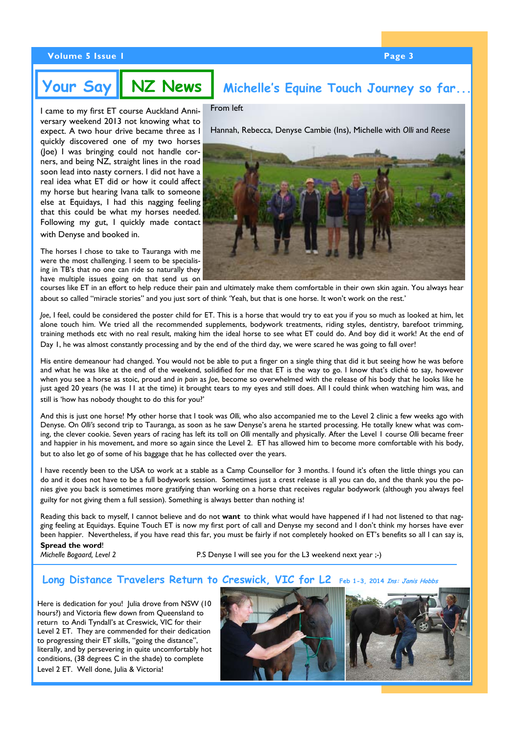#### **Volume 5 Issue 1 Page 3 and 2 April 2 April 2 April 2 April 2 April 2 April 2 April 2 April 2 April 2 April 2 April 2 April 2 April 2 April 2 April 2 April 2 April 2 April 2 April 2 April 2 April 2 April 2 April 2 April 2**

# **Your Say NZ News Michelle's Equine Touch Journey so far...**

I came to my first ET course Auckland Anniversary weekend 2013 not knowing what to expect. A two hour drive became three as I quickly discovered one of my two horses (Joe) I was bringing could not handle corners, and being NZ, straight lines in the road soon lead into nasty corners. I did not have a real idea what ET did or how it could affect my horse but hearing Ivana talk to someone else at Equidays, I had this nagging feeling that this could be what my horses needed. Following my gut, I quickly made contact with Denyse and booked in.

The horses I chose to take to Tauranga with me were the most challenging. I seem to be specialising in TB's that no one can ride so naturally they have multiple issues going on that send us on

From left

Hannah, Rebecca, Denyse Cambie (Ins), Michelle with *Olli* and *Reese*



courses like ET in an effort to help reduce their pain and ultimately make them comfortable in their own skin again. You always hear about so called "miracle stories" and you just sort of think 'Yeah, but that is one horse. It won't work on the rest.'

*Joe*, I feel, could be considered the poster child for ET. This is a horse that would try to eat you if you so much as looked at him, let alone touch him. We tried all the recommended supplements, bodywork treatments, riding styles, dentistry, barefoot trimming, training methods etc with no real result, making him the ideal horse to see what ET could do. And boy did it work! At the end of Day 1, he was almost constantly processing and by the end of the third day, we were scared he was going to fall over!

His entire demeanour had changed. You would not be able to put a finger on a single thing that did it but seeing how he was before and what he was like at the end of the weekend, solidified for me that ET is the way to go. I know that's cliché to say, however when you see a horse as stoic, proud and *in pain* as *Joe*, become so overwhelmed with the release of his body that he looks like he just aged 20 years (he was 11 at the time) it brought tears to my eyes and still does. All I could think when watching him was, and still is 'how has nobody thought to do this for you?'

And this is just one horse! My other horse that I took was *Olli*, who also accompanied me to the Level 2 clinic a few weeks ago with Denyse. On *Olli's* second trip to Tauranga, as soon as he saw Denyse's arena he started processing. He totally knew what was coming, the clever cookie. Seven years of racing has left its toll on *Olli* mentally and physically. After the Level 1 course *Olli* became freer and happier in his movement, and more so again since the Level 2. ET has allowed him to become more comfortable with his body, but to also let go of some of his baggage that he has collected over the years.

I have recently been to the USA to work at a stable as a Camp Counsellor for 3 months. I found it's often the little things you can do and it does not have to be a full bodywork session. Sometimes just a crest release is all you can do, and the thank you the ponies give you back is sometimes more gratifying than working on a horse that receives regular bodywork (although you always feel guilty for not giving them a full session). Something is always better than nothing is!

Reading this back to myself, I cannot believe and do not **want** to think what would have happened if I had not listened to that nagging feeling at Equidays. Equine Touch ET is now my first port of call and Denyse my second and I don't think my horses have ever been happier. Nevertheless, if you have read this far, you must be fairly if not completely hooked on ET's benefits so all I can say is, **Spread the word**!

*Michelle Bogaard, Level 2* P.S Denyse I will see you for the L3 weekend next year ;-)

#### **Long Distance Travelers Return to Creswick, VIC for L2** Feb 1-3, 2014 *Ins: Janis*

Here is dedication for you! Julia drove from NSW (10 hours?) and Victoria flew down from Queensland to return to Andi Tyndall's at Creswick, VIC for their Level 2 ET. They are commended for their dedication to progressing their ET skills, "going the distance", literally, and by persevering in quite uncomfortably hot conditions, (38 degrees C in the shade) to complete Level 2 ET. Well done, Julia & Victoria!